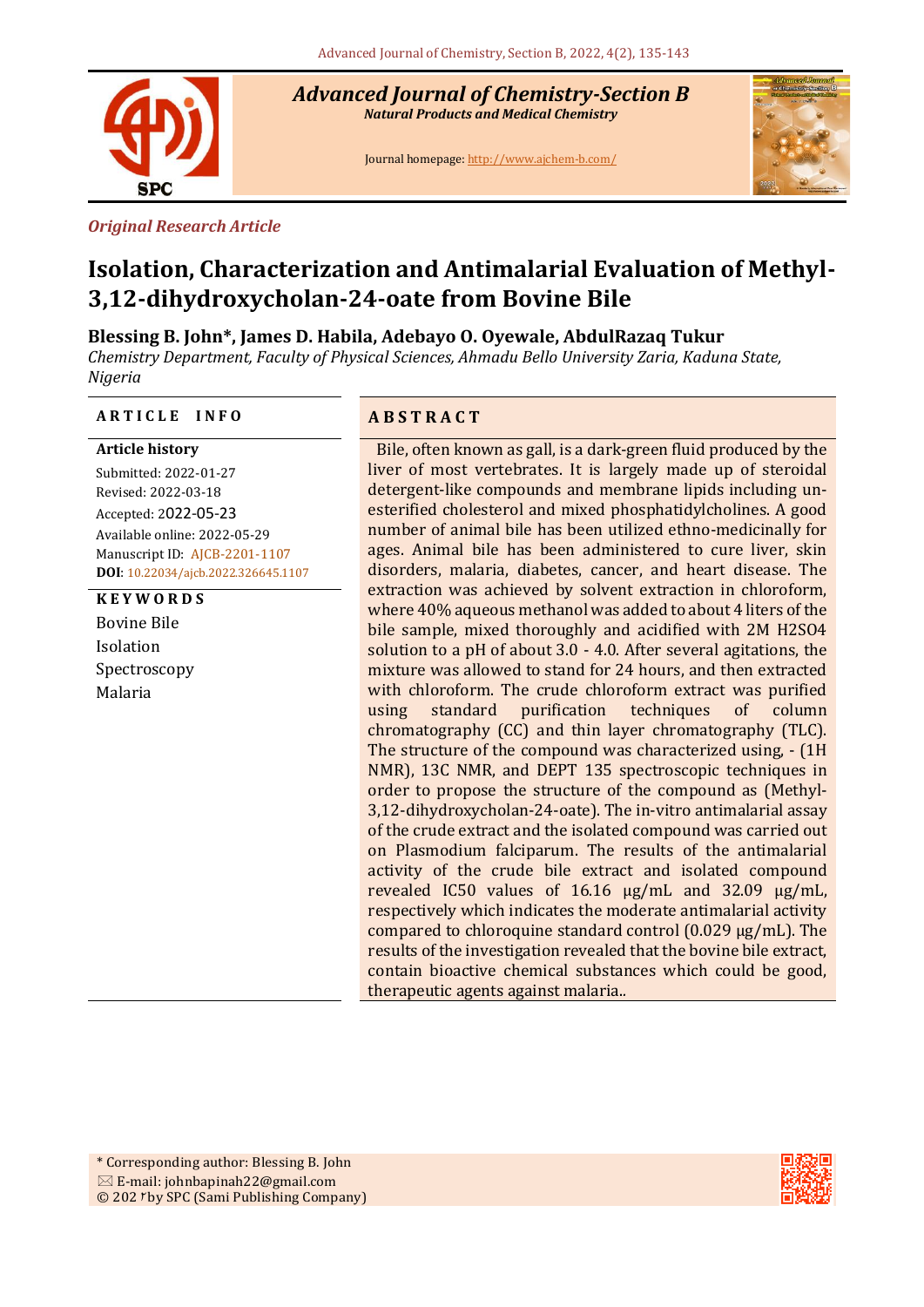

*Advanced Journal of Chemistry-Section B Natural Products and Medical Chemistry* 

Journal homepage[: http://www.ajchem-b.com/](http://www.ajchem-b.com/)



#### *Original Research Article*

# **Isolation, Characterization and Antimalarial Evaluation of Methyl-3,12-dihydroxycholan-24-oate from Bovine Bile**

**Blessing B. John\*, James D. Habila, Adebayo O. Oyewale, AbdulRazaq Tukur** 

*Chemistry Department, Faculty of Physical Sciences, Ahmadu Bello University Zaria, Kaduna State, Nigeria*

#### **A R T I C L E I N F O A B S T R A C T**

## **Article history**

Submitted: 2022-01-27 Revised: 2022-03-18 Accepted: 2022-05-23 Available online: 2022-05-29 Manuscript ID: AJCB-2201-1107 **DOI**: 10.22034/ajcb.2022.326645.1107

**K E Y W O R D S** Bovine Bile Isolation Spectroscopy Malaria

Bile, often known as gall, is a dark-green fluid produced by the liver of most vertebrates. It is largely made up of steroidal detergent-like compounds and membrane lipids including unesterified cholesterol and mixed phosphatidylcholines. A good number of animal bile has been utilized ethno-medicinally for ages. Animal bile has been administered to cure liver, skin disorders, malaria, diabetes, cancer, and heart disease. The extraction was achieved by solvent extraction in chloroform, where 40% aqueous methanol was added to about 4 liters of the bile sample, mixed thoroughly and acidified with 2M H2SO4 solution to a pH of about 3.0 - 4.0. After several agitations, the mixture was allowed to stand for 24 hours, and then extracted with chloroform. The crude chloroform extract was purified using standard purification techniques of column chromatography (CC) and thin layer chromatography (TLC). The structure of the compound was characterized using, - (1H NMR), 13C NMR, and DEPT 135 spectroscopic techniques in order to propose the structure of the compound as (Methyl-3,12-dihydroxycholan-24-oate). The in-vitro antimalarial assay of the crude extract and the isolated compound was carried out on Plasmodium falciparum. The results of the antimalarial activity of the crude bile extract and isolated compound revealed IC50 values of 16.16 µg/mL and 32.09 µg/mL, respectively which indicates the moderate antimalarial activity compared to chloroquine standard control (0.029 µg/mL). The results of the investigation revealed that the bovine bile extract, contain bioactive chemical substances which could be good, therapeutic agents against malaria.*.*

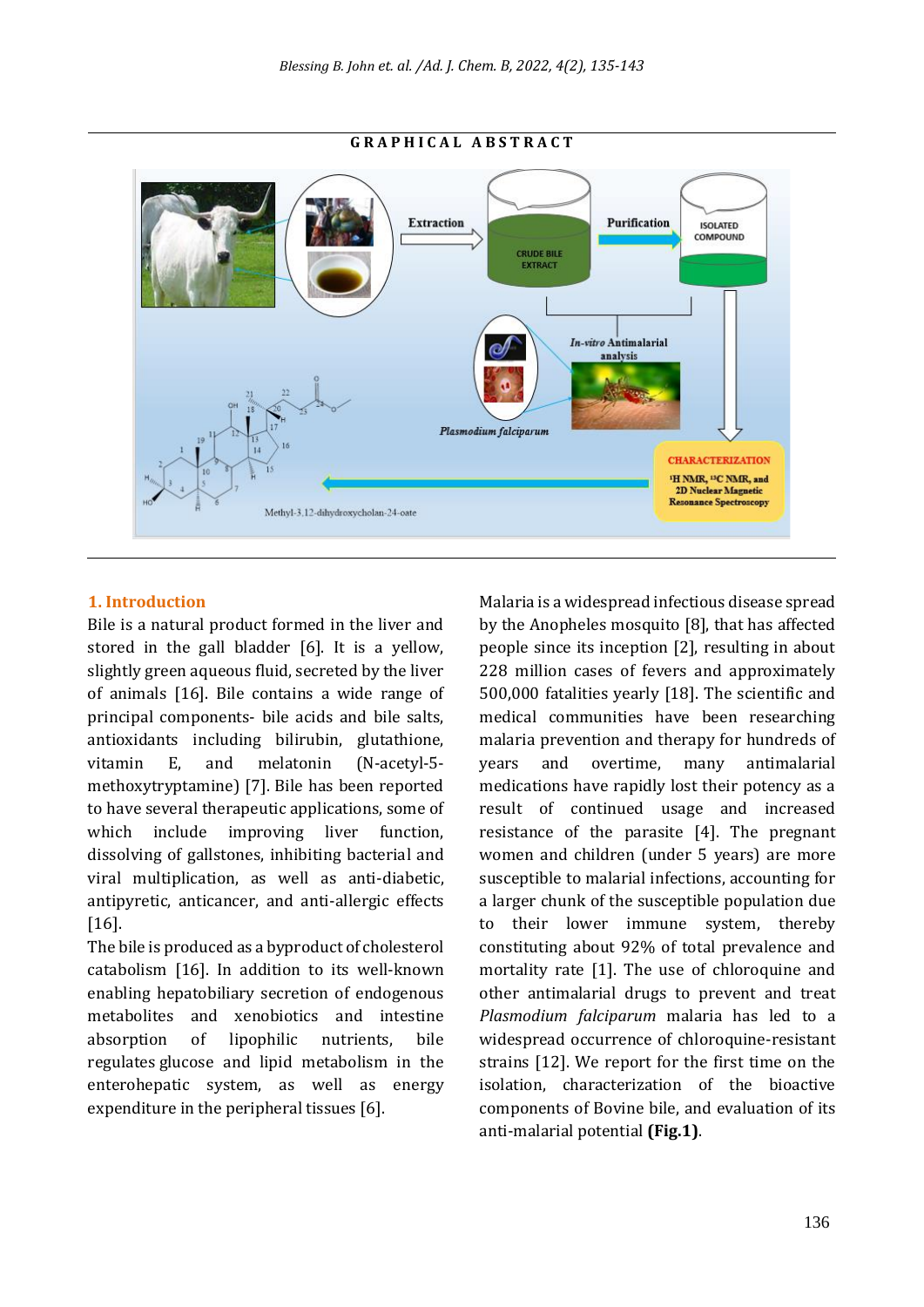

#### **G R A P H I C A L A B S T R A C T**

#### **1. Introduction**

Bile is a natural product formed in the liver and stored in the gall bladder [6]. It is a yellow, slightly green aqueous fluid, secreted by the liver of animals [16]. Bile contains a wide range of principal components- bile acids and bile salts, antioxidants including bilirubin, glutathione, vitamin E, and melatonin (N-acetyl-5 methoxytryptamine) [7]. Bile has been reported to have several therapeutic applications, some of which include improving liver function, dissolving of gallstones, inhibiting bacterial and viral multiplication, as well as anti-diabetic, antipyretic, anticancer, and anti-allergic effects [16].

The bile is produced as a byproduct of cholesterol catabolism [16]. In addition to its well-known enabling hepatobiliary secretion of endogenous metabolites and xenobiotics and intestine absorption of lipophilic nutrients, bile regulates glucose and lipid metabolism in the enterohepatic system, as well as energy expenditure in the peripheral tissues [6].

Malaria is a widespread infectious disease spread by the Anopheles mosquito [8], that has affected people since its inception [2], resulting in about 228 million cases of fevers and approximately 500,000 fatalities yearly [18]. The scientific and medical communities have been researching malaria prevention and therapy for hundreds of years and overtime, many antimalarial medications have rapidly lost their potency as a result of continued usage and increased resistance of the parasite [4]. The pregnant women and children (under 5 years) are more susceptible to malarial infections, accounting for a larger chunk of the susceptible population due to their lower immune system, thereby constituting about 92% of total prevalence and mortality rate [1]. The use of chloroquine and other antimalarial drugs to prevent and treat *Plasmodium falciparum* malaria has led to a widespread occurrence of chloroquine-resistant strains [12]. We report for the first time on the isolation, characterization of the bioactive components of Bovine bile, and evaluation of its anti-malarial potential **(Fig.1)**.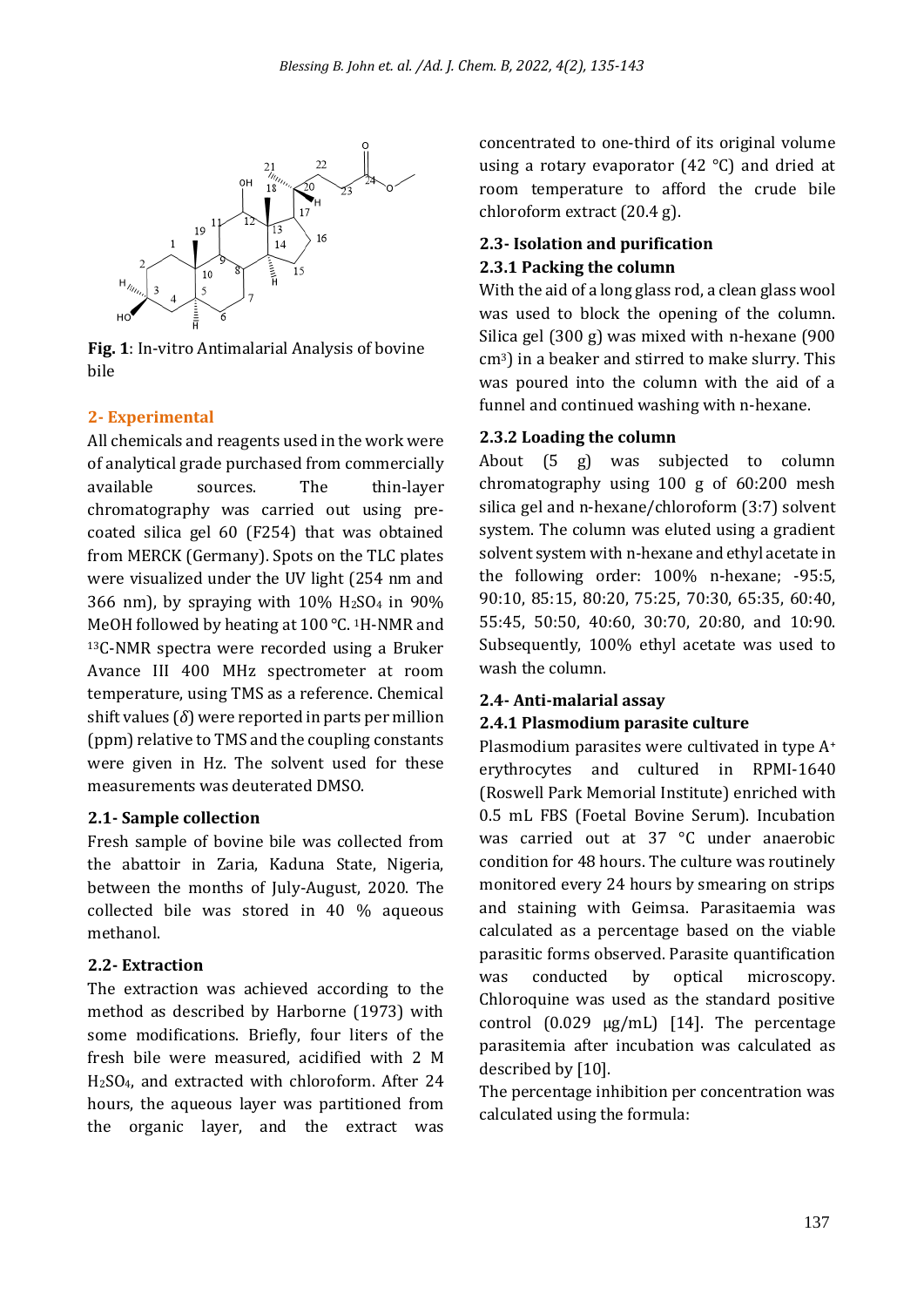

**Fig. 1**: In-vitro Antimalarial Analysis of bovine bile

### **2- Experimental**

All chemicals and reagents used in the work were of analytical grade purchased from commercially available sources. The thin-layer chromatography was carried out using precoated silica gel 60 (F254) that was obtained from MERCK (Germany). Spots on the TLC plates were visualized under the UV light (254 nm and 366 nm), by spraying with  $10\%$  H<sub>2</sub>SO<sub>4</sub> in  $90\%$ MeOH followed by heating at 100 °C. <sup>1</sup>H-NMR and <sup>13</sup>C-NMR spectra were recorded using a Bruker Avance III 400 MHz spectrometer at room temperature, using TMS as a reference. Chemical shift values  $(\delta)$  were reported in parts per million (ppm) relative to TMS and the coupling constants were given in Hz. The solvent used for these measurements was deuterated DMSO.

#### **2.1- Sample collection**

Fresh sample of bovine bile was collected from the abattoir in Zaria, Kaduna State, Nigeria, between the months of July-August, 2020. The collected bile was stored in 40 % aqueous methanol.

#### **2.2- Extraction**

The extraction was achieved according to the method as described by Harborne (1973) with some modifications. Briefly, four liters of the fresh bile were measured, acidified with 2 M H2SO4, and extracted with chloroform. After 24 hours, the aqueous layer was partitioned from the organic layer, and the extract was

concentrated to one-third of its original volume using a rotary evaporator (42 °C) and dried at room temperature to afford the crude bile chloroform extract (20.4 g).

### **2.3- Isolation and purification 2.3.1 Packing the column**

With the aid of a long glass rod, a clean glass wool was used to block the opening of the column. Silica gel (300 g) was mixed with n-hexane (900 cm3) in a beaker and stirred to make slurry. This was poured into the column with the aid of a funnel and continued washing with n-hexane.

#### **2.3.2 Loading the column**

About (5 g) was subjected to column chromatography using 100 g of 60:200 mesh silica gel and n-hexane/chloroform (3:7) solvent system. The column was eluted using a gradient solvent system with n-hexane and ethyl acetate in the following order: 100% n-hexane; -95:5, 90:10, 85:15, 80:20, 75:25, 70:30, 65:35, 60:40, 55:45, 50:50, 40:60, 30:70, 20:80, and 10:90. Subsequently, 100% ethyl acetate was used to wash the column.

#### **2.4- Anti-malarial assay**

### **2.4.1 Plasmodium parasite culture**

Plasmodium parasites were cultivated in type A<sup>+</sup> erythrocytes and cultured in RPMI-1640 (Roswell Park Memorial Institute) enriched with 0.5 mL FBS (Foetal Bovine Serum). Incubation was carried out at 37 °C under anaerobic condition for 48 hours. The culture was routinely monitored every 24 hours by smearing on strips and staining with Geimsa. Parasitaemia was calculated as a percentage based on the viable parasitic forms observed. Parasite quantification was conducted by optical microscopy. Chloroquine was used as the standard positive control  $(0.029 \mu g/mL)$  [14]. The percentage parasitemia after incubation was calculated as described by [10].

The percentage inhibition per concentration was calculated using the formula: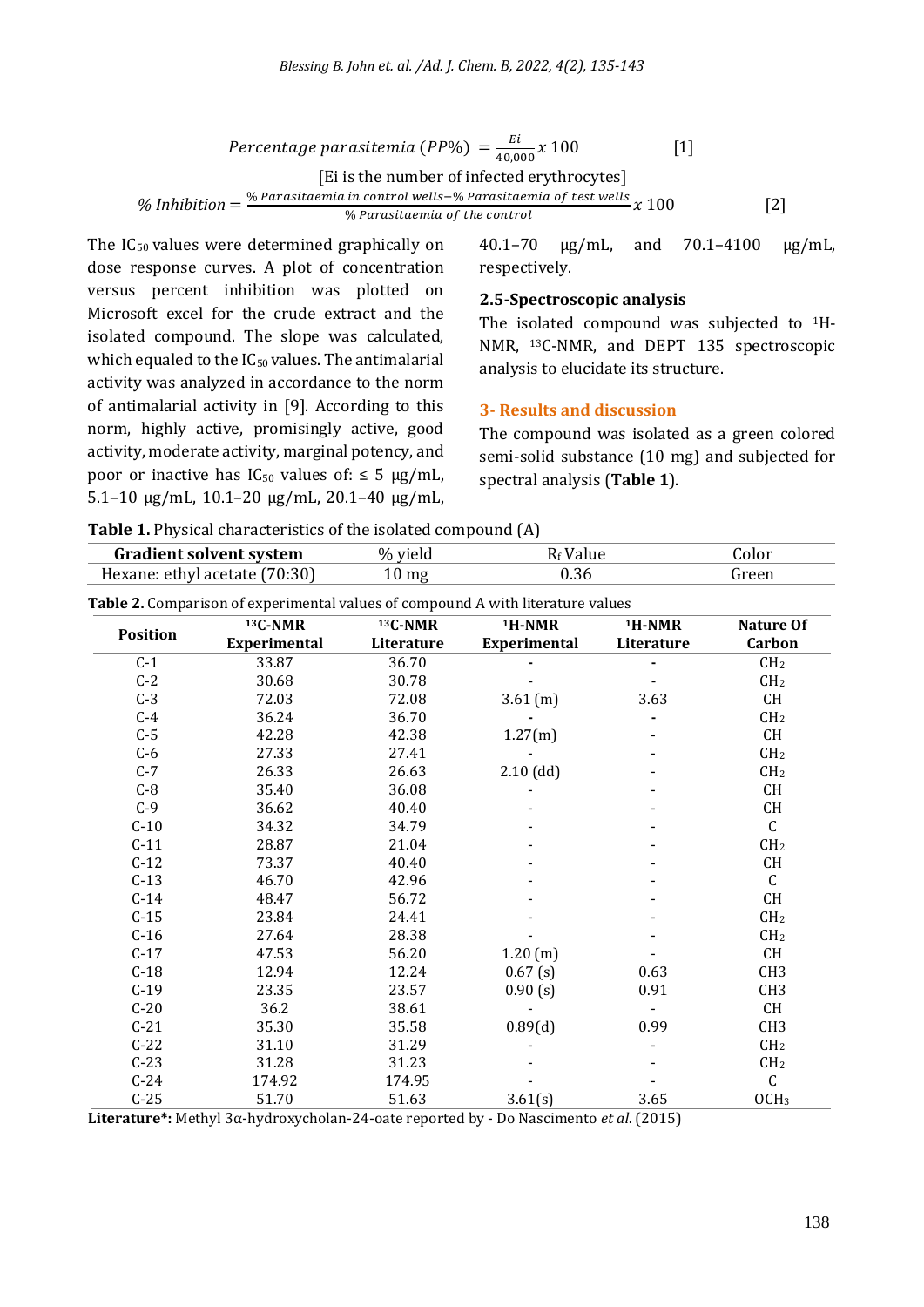Percentage parasitemia (PP%) =  $\frac{E}{40.8}$  $\frac{2i}{40,000}x$  100 [1] [Ei is the number of infected erythrocytes] % Inhibition  $=\frac{\% \text{} \text{}^{\prime} \text{}^{\prime} \text{}^{\prime} \text{}^{\prime} \text{}^{\prime} \text{}}{2}$  [2]<br>  $\% \text{} \text{}^{\prime} \text{} \text{}^{\prime} \text{} \text{}^{\prime} \text{} \text{}^{\prime} \text{} \text{}^{\prime} \text{} \text{}^{\prime} \text{} \text{}^{\prime} \text{}^{\prime} \text{}^{\prime} \text{}^{\prime} \text{}^{\prime} \text{}^{\prime} \text{}^{\prime} \text{}^{\prime} \text$ % Parasitaemia of the control

The IC<sub>50</sub> values were determined graphically on dose response curves. A plot of concentration versus percent inhibition was plotted on Microsoft excel for the crude extract and the isolated compound. The slope was calculated, which equaled to the IC<sub>50</sub> values. The antimalarial activity was analyzed in accordance to the norm of antimalarial activity in [9]. According to this norm, highly active, promisingly active, good activity, moderate activity, marginal potency, and poor or inactive has  $IC_{50}$  values of:  $\leq 5 \mu g/mL$ , 5.1–10 µg/mL, 10.1–20 µg/mL, 20.1–40 µg/mL,

40.1–70 µg/mL, and 70.1–4100 µg/mL, respectively.

#### **2.5-Spectroscopic analysis**

The isolated compound was subjected to 1H-NMR, 13C-NMR, and DEPT 135 spectroscopic analysis to elucidate its structure.

#### **3- Results and discussion**

The compound was isolated as a green colored semi-solid substance (10 mg) and subjected for spectral analysis (**Table 1**).

|  | Table 1. Physical characteristics of the isolated compound (A) |  |
|--|----------------------------------------------------------------|--|
|--|----------------------------------------------------------------|--|

| <b>Gradient solvent system</b><br>Hexane: ethyl acetate (70:30) |                     | R <sub>f</sub> Value<br>% yield<br>0.36<br>$10 \text{ mg}$ |                     |            | Color<br>Green                           |  |
|-----------------------------------------------------------------|---------------------|------------------------------------------------------------|---------------------|------------|------------------------------------------|--|
|                                                                 |                     |                                                            |                     |            |                                          |  |
| <b>Position</b>                                                 | 13C-NMR             | 13C-NMR                                                    | <sup>1</sup> H-NMR  | $1H-NMR$   | <b>Nature Of</b>                         |  |
|                                                                 | <b>Experimental</b> | Literature                                                 | <b>Experimental</b> | Literature | <b>Carbon</b>                            |  |
| $C-1$                                                           | 33.87               | 36.70                                                      |                     |            | CH <sub>2</sub>                          |  |
| $C-2$                                                           | 30.68               | 30.78                                                      |                     |            | CH <sub>2</sub>                          |  |
| $C-3$                                                           | 72.03               | 72.08                                                      | 3.61 (m)            | 3.63       | CH                                       |  |
| $C-4$                                                           | 36.24               | 36.70                                                      |                     |            | CH <sub>2</sub>                          |  |
| $C-5$                                                           | 42.28               | 42.38                                                      | 1.27(m)             |            | $\mathsf{CH}% \left( \mathcal{M}\right)$ |  |
| $C-6$                                                           | 27.33               | 27.41                                                      |                     |            | CH <sub>2</sub>                          |  |
| $C-7$                                                           | 26.33               | 26.63                                                      | $2.10$ (dd)         |            | CH <sub>2</sub>                          |  |
| $C-8$                                                           | 35.40               | 36.08                                                      |                     |            | CH                                       |  |
| $C-9$                                                           | 36.62               | 40.40                                                      |                     |            | CH                                       |  |
| $C-10$                                                          | 34.32               | 34.79                                                      |                     |            | $\mathsf C$                              |  |
| $C-11$                                                          | 28.87               | 21.04                                                      |                     |            | CH <sub>2</sub>                          |  |
| $C-12$                                                          | 73.37               | 40.40                                                      |                     |            | CH                                       |  |
| $C-13$                                                          | 46.70               | 42.96                                                      |                     |            | $\mathsf C$                              |  |
| $C-14$                                                          | 48.47               | 56.72                                                      |                     |            | CH                                       |  |
| $C-15$                                                          | 23.84               | 24.41                                                      |                     |            | CH <sub>2</sub>                          |  |
| $C-16$                                                          | 27.64               | 28.38                                                      |                     |            | CH <sub>2</sub>                          |  |
| $C-17$                                                          | 47.53               | 56.20                                                      | 1.20(m)             |            | CH                                       |  |
| $C-18$                                                          | 12.94               | 12.24                                                      | 0.67(s)             | 0.63       | CH <sub>3</sub>                          |  |
| $C-19$                                                          | 23.35               | 23.57                                                      | 0.90(s)             | 0.91       | CH <sub>3</sub>                          |  |
| $C-20$                                                          | 36.2                | 38.61                                                      |                     |            | CH                                       |  |
| $C-21$                                                          | 35.30               | 35.58                                                      | 0.89(d)             | 0.99       | CH <sub>3</sub>                          |  |
| $C-22$                                                          | 31.10               | 31.29                                                      |                     |            | CH <sub>2</sub>                          |  |
| $C-23$                                                          | 31.28               | 31.23                                                      |                     |            | CH <sub>2</sub>                          |  |
| $C-24$                                                          | 174.92              | 174.95                                                     |                     |            | $\mathsf C$                              |  |
| $C-25$                                                          | 51.70               | 51.63                                                      | 3.61(s)             | 3.65       | OCH <sub>3</sub>                         |  |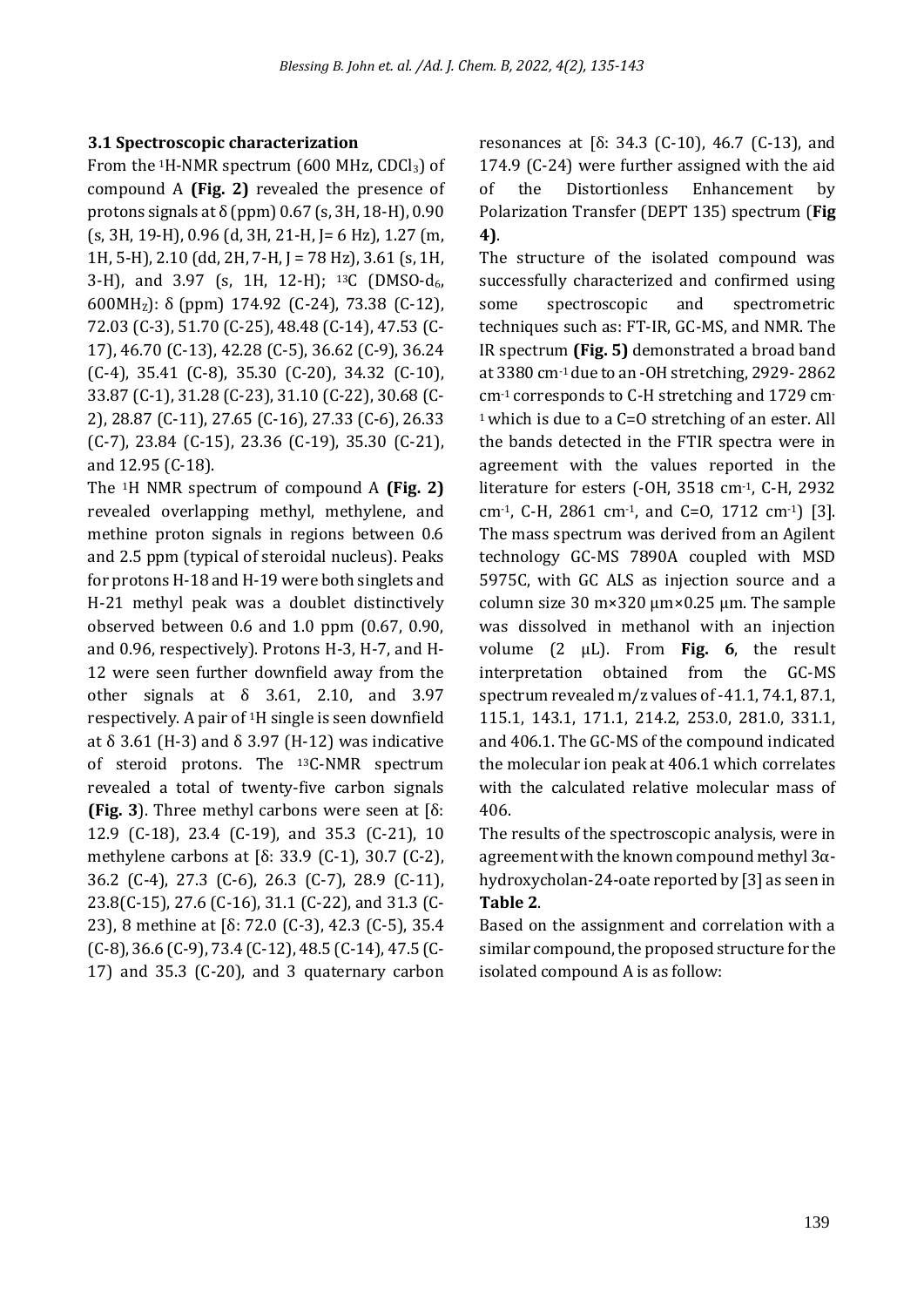#### **3.1 Spectroscopic characterization**

From the  ${}^{1}$ H-NMR spectrum (600 MHz, CDCl<sub>3</sub>) of compound A **(Fig. 2)** revealed the presence of protons signals at  $\delta$  (ppm) 0.67 (s, 3H, 18-H), 0.90 (s, 3H, 19-H), 0.96 (d, 3H, 21-H, J= 6 Hz), 1.27 (m, 1H, 5-H), 2.10 (dd, 2H, 7-H, J = 78 Hz), 3.61 (s, 1H, 3-H), and 3.97 (s, 1H, 12-H); <sup>13</sup>C (DMSO-d<sub>6</sub>, 600MHZ): δ (ppm) 174.92 (C-24), 73.38 (C-12), 72.03 (C-3), 51.70 (C-25), 48.48 (C-14), 47.53 (C-17), 46.70 (C-13), 42.28 (C-5), 36.62 (C-9), 36.24 (C-4), 35.41 (C-8), 35.30 (C-20), 34.32 (C-10), 33.87 (C-1), 31.28 (C-23), 31.10 (C-22), 30.68 (C-2), 28.87 (C-11), 27.65 (C-16), 27.33 (C-6), 26.33 (C-7), 23.84 (C-15), 23.36 (C-19), 35.30 (C-21), and 12.95 (C-18).

The 1H NMR spectrum of compound A **(Fig. 2)** revealed overlapping methyl, methylene, and methine proton signals in regions between 0.6 and 2.5 ppm (typical of steroidal nucleus). Peaks for protons H-18 and H-19 were both singlets and H-21 methyl peak was a doublet distinctively observed between 0.6 and 1.0 ppm (0.67, 0.90, and 0.96, respectively). Protons H-3, H-7, and H-12 were seen further downfield away from the other signals at  $\delta$  3.61, 2.10, and 3.97 respectively. A pair of 1H single is seen downfield at δ 3.61 (H-3) and δ 3.97 (H-12) was indicative of steroid protons. The 13C-NMR spectrum revealed a total of twenty-five carbon signals **(Fig. 3**). Three methyl carbons were seen at [δ: 12.9 (C-18), 23.4 (C-19), and 35.3 (C-21), 10 methylene carbons at [δ: 33.9 (C-1), 30.7 (C-2), 36.2 (C-4), 27.3 (C-6), 26.3 (C-7), 28.9 (C-11), 23.8(C-15), 27.6 (C-16), 31.1 (C-22), and 31.3 (C-23), 8 methine at [δ: 72.0 (C-3), 42.3 (C-5), 35.4 (C-8), 36.6 (C-9), 73.4 (C-12), 48.5 (C-14), 47.5 (C-17) and 35.3 (C-20), and 3 quaternary carbon

resonances at [δ: 34.3 (C-10), 46.7 (C-13), and 174.9 (C-24) were further assigned with the aid of the Distortionless Enhancement by Polarization Transfer (DEPT 135) spectrum (**Fig 4)**.

The structure of the isolated compound was successfully characterized and confirmed using some spectroscopic and spectrometric techniques such as: FT-IR, GC-MS, and NMR. The IR spectrum **(Fig. 5)** demonstrated a broad band at 3380 cm-1 due to an -OH stretching, 2929- 2862 cm-1 corresponds to C-H stretching and 1729 cm-<sup>1</sup> which is due to a C=O stretching of an ester. All the bands detected in the FTIR spectra were in agreement with the values reported in the literature for esters (-OH, 3518 cm-1, C-H, 2932 cm-1, C-H, 2861 cm-1, and C=O, 1712 cm-1) [3]. The mass spectrum was derived from an Agilent technology GC-MS 7890A coupled with MSD 5975C, with GC ALS as injection source and a column size 30 m×320 µm×0.25 µm. The sample was dissolved in methanol with an injection volume (2 µL). From **Fig. 6**, the result interpretation obtained from the GC-MS spectrum revealed m/z values of -41.1, 74.1, 87.1, 115.1, 143.1, 171.1, 214.2, 253.0, 281.0, 331.1, and 406.1. The GC-MS of the compound indicated the molecular ion peak at 406.1 which correlates with the calculated relative molecular mass of 406.

The results of the spectroscopic analysis, were in agreement with the known compound methyl 3αhydroxycholan-24-oate reported by [3] as seen in **Table 2**.

Based on the assignment and correlation with a similar compound, the proposed structure for the isolated compound A is as follow: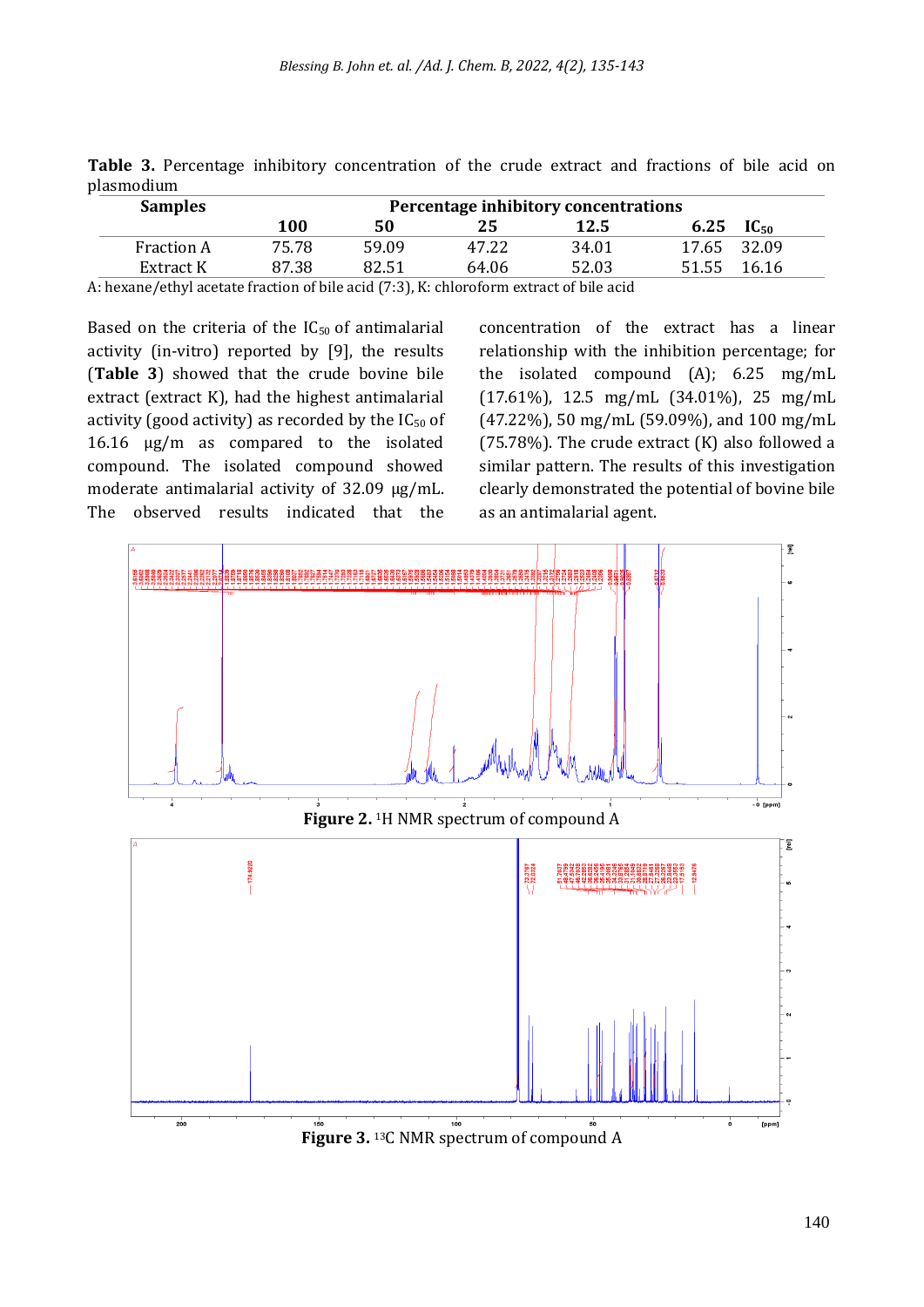| P191100110111     |                                      |       |       |       |                |  |  |
|-------------------|--------------------------------------|-------|-------|-------|----------------|--|--|
| <b>Samples</b>    | Percentage inhibitory concentrations |       |       |       |                |  |  |
|                   | 100                                  | 50    | 25    | 12.5  | 6.25 $IC_{50}$ |  |  |
| <b>Fraction A</b> | 75.78                                | 59.09 | 47.22 | 34.01 | 17.65 32.09    |  |  |
| Extract K         | 87.38                                | 82.51 | 64.06 | 52.03 | 51.55 16.16    |  |  |

**Table 3.** Percentage inhibitory concentration of the crude extract and fractions of bile acid on plasmodium

A: hexane/ethyl acetate fraction of bile acid (7:3), K: chloroform extract of bile acid

Based on the criteria of the  $IC_{50}$  of antimalarial activity (in-vitro) reported by [9], the results (**Table 3**) showed that the crude bovine bile extract (extract K), had the highest antimalarial activity (good activity) as recorded by the  $IC_{50}$  of 16.16 µg/m as compared to the isolated compound. The isolated compound showed moderate antimalarial activity of 32.09 µg/mL. The observed results indicated that the concentration of the extract has a linear relationship with the inhibition percentage; for the isolated compound (A); 6.25 mg/mL (17.61%), 12.5 mg/mL (34.01%), 25 mg/mL (47.22%), 50 mg/mL (59.09%), and 100 mg/mL (75.78%). The crude extract  $(K)$  also followed a similar pattern. The results of this investigation clearly demonstrated the potential of bovine bile as an antimalarial agent.

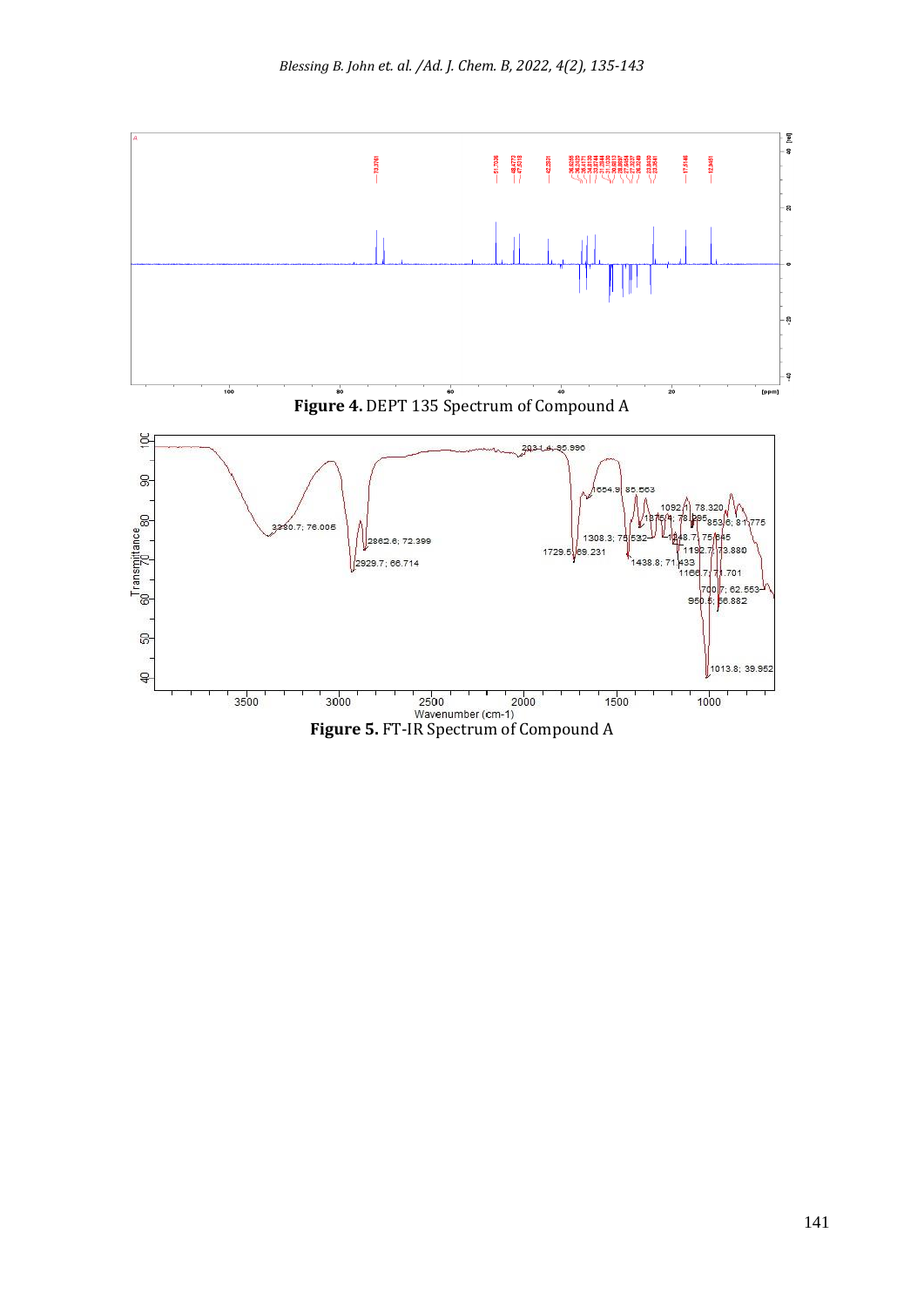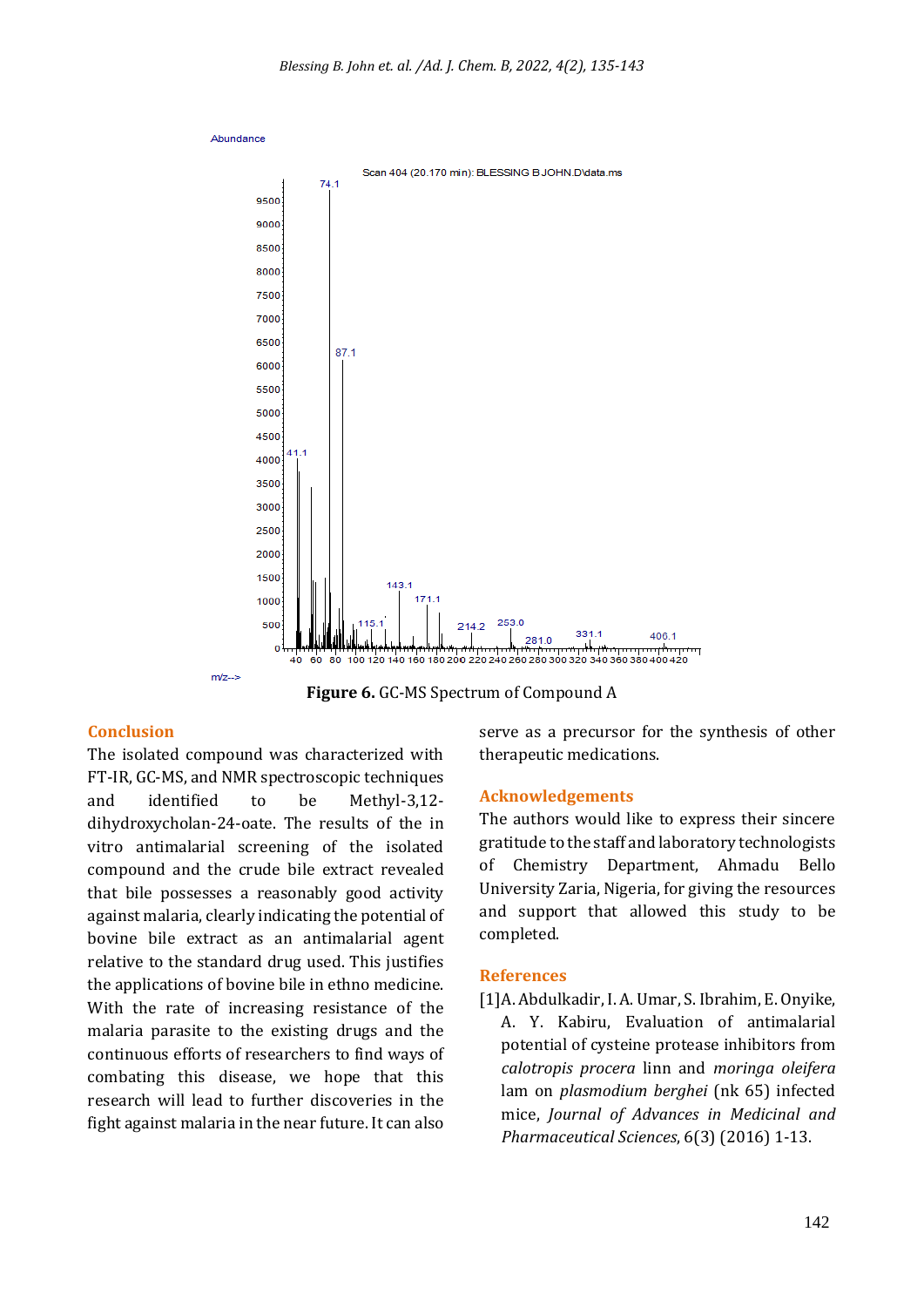

**Figure 6.** GC-MS Spectrum of Compound A

#### **Conclusion**

The isolated compound was characterized with FT-IR, GC-MS, and NMR spectroscopic techniques and identified to be Methyl-3,12 dihydroxycholan-24-oate. The results of the in vitro antimalarial screening of the isolated compound and the crude bile extract revealed that bile possesses a reasonably good activity against malaria, clearly indicating the potential of bovine bile extract as an antimalarial agent relative to the standard drug used. This justifies the applications of bovine bile in ethno medicine. With the rate of increasing resistance of the malaria parasite to the existing drugs and the continuous efforts of researchers to find ways of combating this disease, we hope that this research will lead to further discoveries in the fight against malaria in the near future. It can also serve as a precursor for the synthesis of other therapeutic medications.

#### **Acknowledgements**

The authors would like to express their sincere gratitude to the staff and laboratory technologists of Chemistry Department, Ahmadu Bello University Zaria, Nigeria, for giving the resources and support that allowed this study to be completed.

#### **References**

[1]A. Abdulkadir, I. A. Umar, S. Ibrahim, E. Onyike, A. Y. Kabiru, Evaluation of antimalarial potential of cysteine protease inhibitors from *calotropis procera* linn and *moringa oleifera*  lam on *plasmodium berghei* (nk 65) infected mice, *Journal of Advances in Medicinal and Pharmaceutical Sciences*, 6(3) (2016) 1-13.